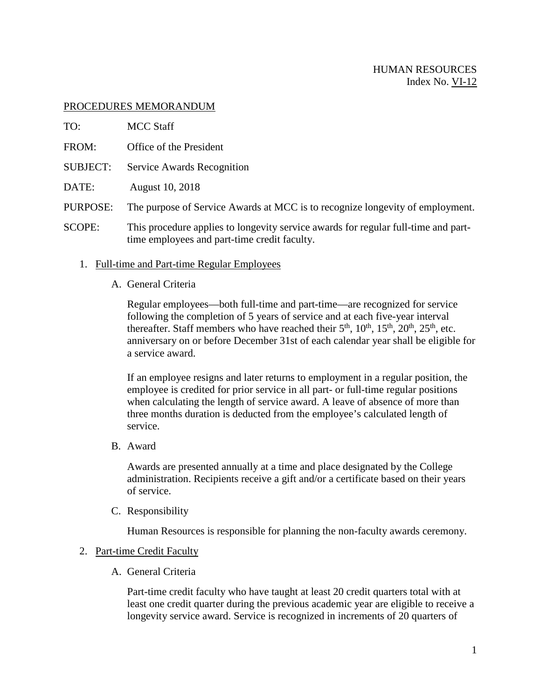## PROCEDURES MEMORANDUM

- TO: MCC Staff
- FROM: Office of the President
- SUBJECT: Service Awards Recognition
- DATE: August 10, 2018
- PURPOSE: The purpose of Service Awards at MCC is to recognize longevity of employment.
- SCOPE: This procedure applies to longevity service awards for regular full-time and parttime employees and part-time credit faculty.
	- 1. Full-time and Part-time Regular Employees
		- A. General Criteria

Regular employees—both full-time and part-time—are recognized for service following the completion of 5 years of service and at each five-year interval thereafter. Staff members who have reached their  $5<sup>th</sup>$ ,  $10<sup>th</sup>$ ,  $15<sup>th</sup>$ ,  $20<sup>th</sup>$ ,  $25<sup>th</sup>$ , etc. anniversary on or before December 31st of each calendar year shall be eligible for a service award.

If an employee resigns and later returns to employment in a regular position, the employee is credited for prior service in all part- or full-time regular positions when calculating the length of service award. A leave of absence of more than three months duration is deducted from the employee's calculated length of service.

B. Award

Awards are presented annually at a time and place designated by the College administration. Recipients receive a gift and/or a certificate based on their years of service.

C. Responsibility

Human Resources is responsible for planning the non-faculty awards ceremony.

## 2. Part-time Credit Faculty

A. General Criteria

Part-time credit faculty who have taught at least 20 credit quarters total with at least one credit quarter during the previous academic year are eligible to receive a longevity service award. Service is recognized in increments of 20 quarters of